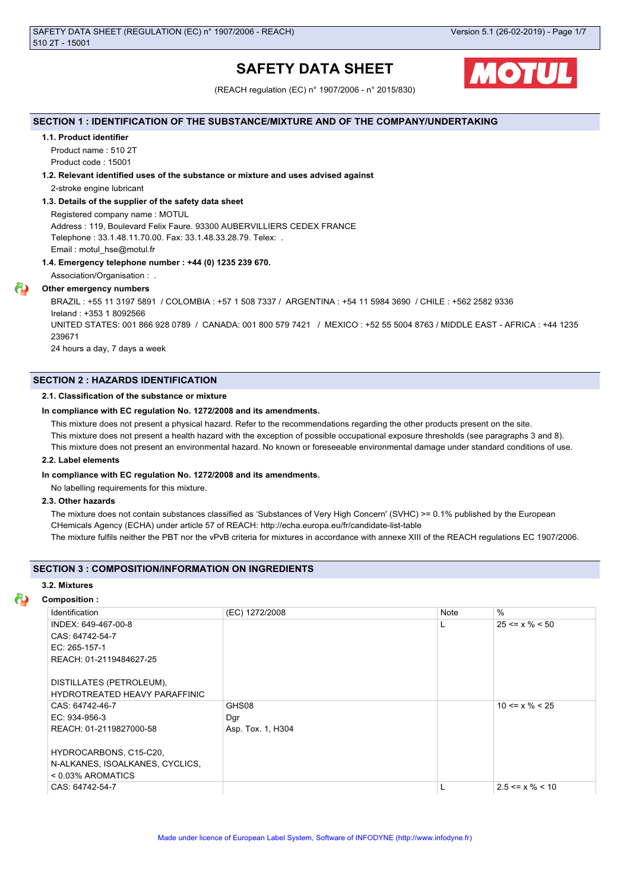# **SAFETY DATA SHEET**



(REACH regulation (EC) n° 1907/2006 - n° 2015/830)

## **SECTION 1 : IDENTIFICATION OF THE SUBSTANCE/MIXTURE AND OF THE COMPANY/UNDERTAKING**

#### **1.1. Product identifier**

Product name : 510 2T

Product code : 15001

## **1.2. Relevant identified uses of the substance or mixture and uses advised against**

2-stroke engine lubricant

## **1.3. Details of the supplier of the safety data sheet**

Registered company name : MOTUL Address : 119, Boulevard Felix Faure. 93300 AUBERVILLIERS CEDEX FRANCE Telephone : 33.1.48.11.70.00. Fax: 33.1.48.33.28.79. Telex: . Email : motul\_hse@motul.fr

## **1.4. Emergency telephone number : +44 (0) 1235 239 670.**

Association/Organisation : .

## **Other emergency numbers**

BRAZIL : +55 11 3197 5891 / COLOMBIA : +57 1 508 7337 / ARGENTINA : +54 11 5984 3690 / CHILE : +562 2582 9336 Ireland : +353 1 8092566 UNITED STATES: 001 866 928 0789 / CANADA: 001 800 579 7421 / MEXICO : +52 55 5004 8763 / MIDDLE EAST - AFRICA : +44 1235 239671 24 hours a day, 7 days a week

## **SECTION 2 : HAZARDS IDENTIFICATION**

## **2.1. Classification of the substance or mixture**

#### **In compliance with EC regulation No. 1272/2008 and its amendments.**

This mixture does not present a physical hazard. Refer to the recommendations regarding the other products present on the site.

This mixture does not present a health hazard with the exception of possible occupational exposure thresholds (see paragraphs 3 and 8).

This mixture does not present an environmental hazard. No known or foreseeable environmental damage under standard conditions of use.

#### **2.2. Label elements**

#### **In compliance with EC regulation No. 1272/2008 and its amendments.**

No labelling requirements for this mixture.

## **2.3. Other hazards**

The mixture does not contain substances classified as 'Substances of Very High Concern' (SVHC) >= 0.1% published by the European CHemicals Agency (ECHA) under article 57 of REACH: http://echa.europa.eu/fr/candidate-list-table

The mixture fulfils neither the PBT nor the vPvB criteria for mixtures in accordance with annexe XIII of the REACH regulations EC 1907/2006.

## **SECTION 3 : COMPOSITION/INFORMATION ON INGREDIENTS**

## **3.2. Mixtures**

## **Composition :**

| Identification                  | (EC) 1272/2008    | Note | $\frac{0}{0}$         |
|---------------------------------|-------------------|------|-----------------------|
| INDEX: 649-467-00-8             |                   |      | $25 \le x \% \le 50$  |
| CAS: 64742-54-7                 |                   |      |                       |
| EC: 265-157-1                   |                   |      |                       |
| REACH: 01-2119484627-25         |                   |      |                       |
|                                 |                   |      |                       |
| DISTILLATES (PETROLEUM),        |                   |      |                       |
| HYDROTREATED HEAVY PARAFFINIC   |                   |      |                       |
| CAS: 64742-46-7                 | GHS08             |      | $10 \le x \% \le 25$  |
| EC: 934-956-3                   | Dgr               |      |                       |
| REACH: 01-2119827000-58         | Asp. Tox. 1, H304 |      |                       |
|                                 |                   |      |                       |
| HYDROCARBONS, C15-C20,          |                   |      |                       |
| N-ALKANES, ISOALKANES, CYCLICS, |                   |      |                       |
| $<$ 0.03% AROMATICS             |                   |      |                       |
| CAS: 64742-54-7                 |                   | ┗    | $2.5 \le x \% \le 10$ |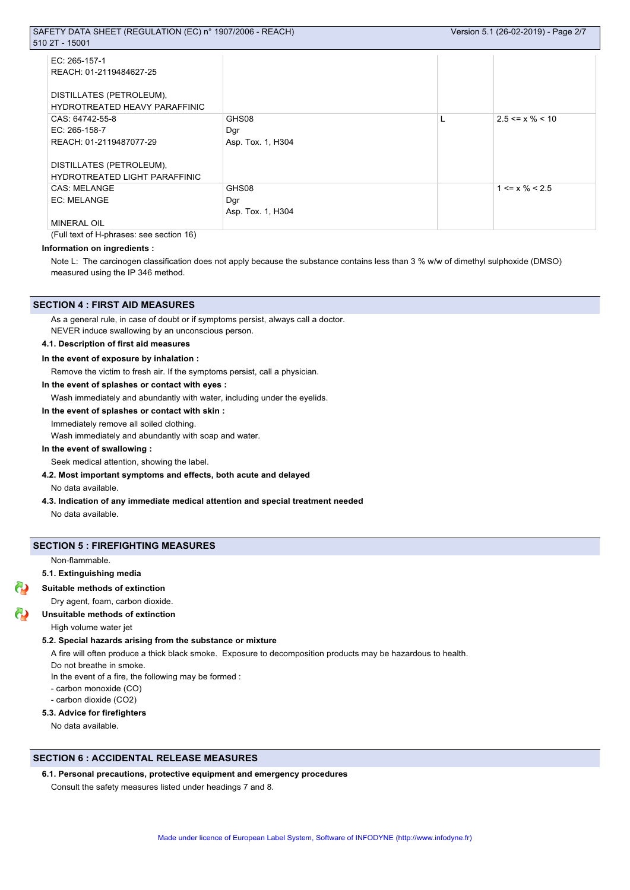| EC: 265-157-1                        |                   |   |                       |
|--------------------------------------|-------------------|---|-----------------------|
| REACH: 01-2119484627-25              |                   |   |                       |
| DISTILLATES (PETROLEUM),             |                   |   |                       |
| <b>HYDROTREATED HEAVY PARAFFINIC</b> |                   |   |                       |
| CAS: 64742-55-8                      | GHS08             | L | $2.5 \le x \% \le 10$ |
| EC: $265-158-7$                      | Dgr               |   |                       |
| REACH: 01-2119487077-29              | Asp. Tox. 1, H304 |   |                       |
|                                      |                   |   |                       |
| DISTILLATES (PETROLEUM),             |                   |   |                       |
| HYDROTREATED LIGHT PARAFFINIC        |                   |   |                       |
| <b>CAS: MELANGE</b>                  | GHS08             |   | $1 \le x \% \le 2.5$  |
| EC: MELANGE                          | Dgr               |   |                       |
|                                      | Asp. Tox. 1, H304 |   |                       |
| <b>MINERAL OIL</b>                   |                   |   |                       |

(Full text of H-phrases: see section 16)

## **Information on ingredients :**

Note L: The carcinogen classification does not apply because the substance contains less than 3 % w/w of dimethyl sulphoxide (DMSO) measured using the IP 346 method.

#### **SECTION 4 : FIRST AID MEASURES**

As a general rule, in case of doubt or if symptoms persist, always call a doctor.

NEVER induce swallowing by an unconscious person.

## **4.1. Description of first aid measures**

#### **In the event of exposure by inhalation :**

Remove the victim to fresh air. If the symptoms persist, call a physician.

## **In the event of splashes or contact with eyes :**

Wash immediately and abundantly with water, including under the eyelids.

#### **In the event of splashes or contact with skin :**

Immediately remove all soiled clothing.

Wash immediately and abundantly with soap and water.

#### **In the event of swallowing :**

Seek medical attention, showing the label.

## **4.2. Most important symptoms and effects, both acute and delayed**

No data available.

**4.3. Indication of any immediate medical attention and special treatment needed**

No data available.

## **SECTION 5 : FIREFIGHTING MEASURES**

Non-flammable.

## **5.1. Extinguishing media**

#### **Suitable methods of extinction**

Dry agent, foam, carbon dioxide.

#### **Unsuitable methods of extinction**

High volume water jet

#### **5.2. Special hazards arising from the substance or mixture**

A fire will often produce a thick black smoke. Exposure to decomposition products may be hazardous to health.

Do not breathe in smoke.

- In the event of a fire, the following may be formed :
- carbon monoxide (CO)
- carbon dioxide (CO2)

## **5.3. Advice for firefighters**

No data available.

## **SECTION 6 : ACCIDENTAL RELEASE MEASURES**

## **6.1. Personal precautions, protective equipment and emergency procedures**

Consult the safety measures listed under headings 7 and 8.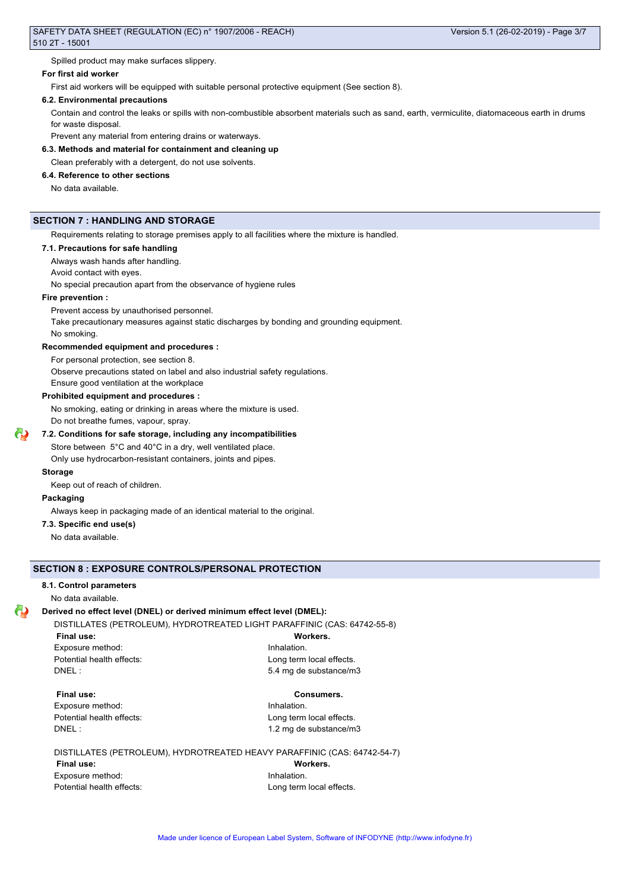Spilled product may make surfaces slippery.

## **For first aid worker**

First aid workers will be equipped with suitable personal protective equipment (See section 8).

#### **6.2. Environmental precautions**

Contain and control the leaks or spills with non-combustible absorbent materials such as sand, earth, vermiculite, diatomaceous earth in drums for waste disposal.

Prevent any material from entering drains or waterways.

## **6.3. Methods and material for containment and cleaning up**

Clean preferably with a detergent, do not use solvents.

## **6.4. Reference to other sections**

No data available.

## **SECTION 7 : HANDLING AND STORAGE**

Requirements relating to storage premises apply to all facilities where the mixture is handled.

## **7.1. Precautions for safe handling**

Always wash hands after handling.

Avoid contact with eyes.

No special precaution apart from the observance of hygiene rules

## **Fire prevention :**

Prevent access by unauthorised personnel.

Take precautionary measures against static discharges by bonding and grounding equipment.

No smoking.

#### **Recommended equipment and procedures :**

For personal protection, see section 8.

Observe precautions stated on label and also industrial safety regulations.

Ensure good ventilation at the workplace

## **Prohibited equipment and procedures :**

No smoking, eating or drinking in areas where the mixture is used. Do not breathe fumes, vapour, spray.

## **7.2. Conditions for safe storage, including any incompatibilities**

Store between 5°C and 40°C in a dry, well ventilated place.

Only use hydrocarbon-resistant containers, joints and pipes.

## **Storage**

Keep out of reach of children.

#### **Packaging**

Always keep in packaging made of an identical material to the original.

#### **7.3. Specific end use(s)**

No data available.

## **SECTION 8 : EXPOSURE CONTROLS/PERSONAL PROTECTION**

#### **8.1. Control parameters**

No data available.

## **Derived no effect level (DNEL) or derived minimum effect level (DMEL):**

DISTILLATES (PETROLEUM), HYDROTREATED LIGHT PARAFFINIC (CAS: 64742-55-8)

**Final use: Workers.** Exposure method: **Inhalation** 

Potential health effects: <br>
Long term local effects. DNEL : 5.4 mg de substance/m3

#### **Final use: Consumers.**

Exposure method: **Inhalation** 

Potential health effects: <br>
Long term local effects. DNEL : 1.2 mg de substance/m3

#### DISTILLATES (PETROLEUM), HYDROTREATED HEAVY PARAFFINIC (CAS: 64742-54-7)

**Final use: Workers.** Exposure method: **Inhalation** Potential health effects: Long term local effects.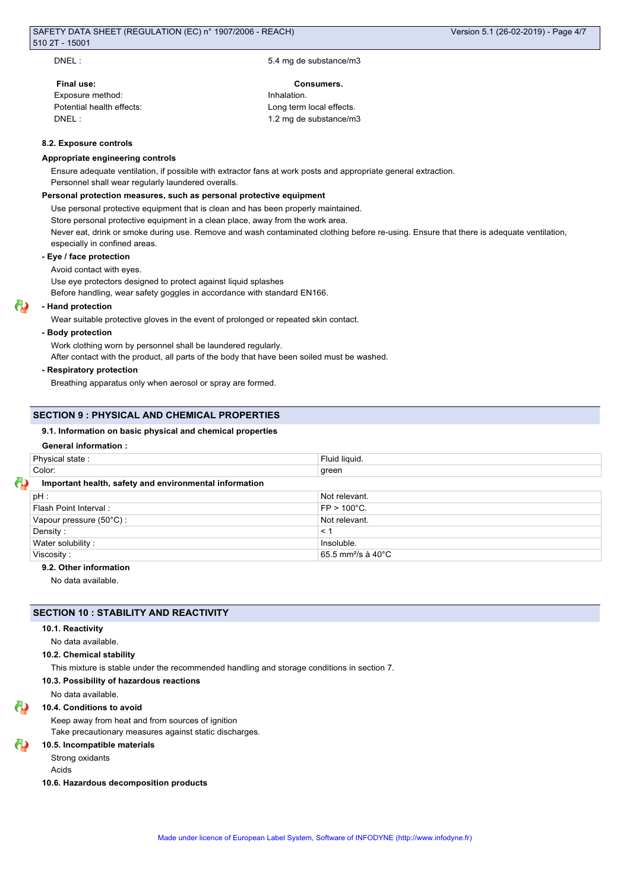DNEL : 5.4 mg de substance/m3

## **Final use: Consumers.** Exposure method: **Inhalation**

Potential health effects: Long term local effects. DNEL : 1.2 mg de substance/m3

## **8.2. Exposure controls**

#### **Appropriate engineering controls**

Ensure adequate ventilation, if possible with extractor fans at work posts and appropriate general extraction.

Personnel shall wear regularly laundered overalls.

## **Personal protection measures, such as personal protective equipment**

Use personal protective equipment that is clean and has been properly maintained. Store personal protective equipment in a clean place, away from the work area. Never eat, drink or smoke during use. Remove and wash contaminated clothing before re-using. Ensure that there is adequate ventilation, especially in confined areas.

#### **- Eye / face protection**

Avoid contact with eyes.

Use eye protectors designed to protect against liquid splashes

Before handling, wear safety goggles in accordance with standard EN166.

## **- Hand protection**

Wear suitable protective gloves in the event of prolonged or repeated skin contact.

#### **- Body protection**

Work clothing worn by personnel shall be laundered regularly.

After contact with the product, all parts of the body that have been soiled must be washed.

#### **- Respiratory protection**

Breathing apparatus only when aerosol or spray are formed.

## **SECTION 9 : PHYSICAL AND CHEMICAL PROPERTIES**

#### **9.1. Information on basic physical and chemical properties**

## **General information :**

| Physical state:                                        | Fluid liquid.                             |  |  |
|--------------------------------------------------------|-------------------------------------------|--|--|
| Color:                                                 | green                                     |  |  |
| Important health, safety and environmental information |                                           |  |  |
| $pH$ :                                                 | Not relevant.                             |  |  |
| Flash Point Interval:                                  | $FP > 100^{\circ}C$ .                     |  |  |
| Vapour pressure (50°C):                                | Not relevant.                             |  |  |
| Density:                                               | $\leq$ 1                                  |  |  |
| Water solubility:                                      | Insoluble.                                |  |  |
| Viscosity:                                             | 65.5 mm <sup>2</sup> /s à 40 $^{\circ}$ C |  |  |

## **9.2. Other information**

No data available.

## **SECTION 10 : STABILITY AND REACTIVITY**

#### **10.1. Reactivity**

## No data available.

## **10.2. Chemical stability**

This mixture is stable under the recommended handling and storage conditions in section 7.

#### **10.3. Possibility of hazardous reactions**

No data available.

## **10.4. Conditions to avoid**

Keep away from heat and from sources of ignition Take precautionary measures against static discharges.

#### **10.5. Incompatible materials**

Strong oxidants

Acids

#### **10.6. Hazardous decomposition products**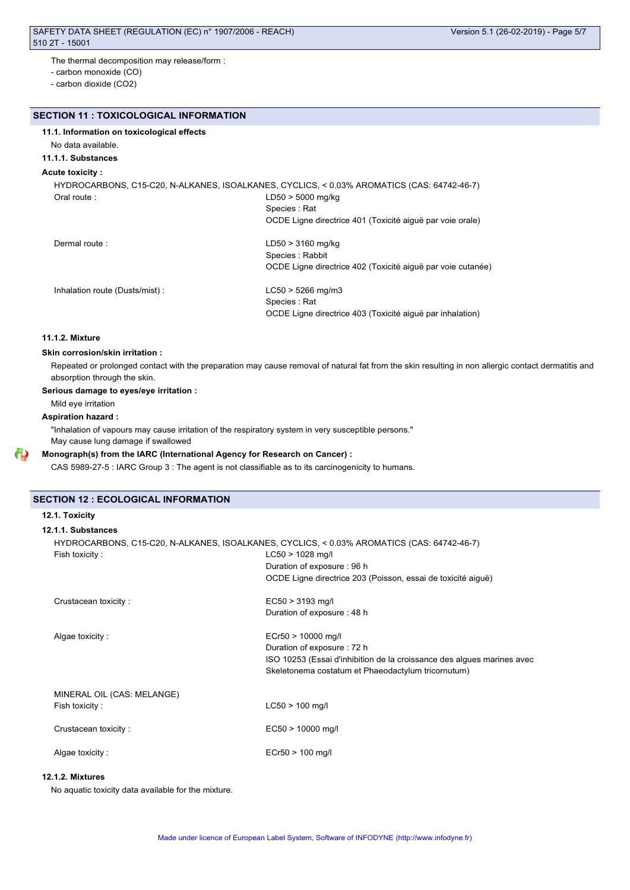The thermal decomposition may release/form :

- carbon monoxide (CO)

- carbon dioxide (CO2)

## **SECTION 11 : TOXICOLOGICAL INFORMATION**

## **11.1. Information on toxicological effects**

No data available.

## **11.1.1. Substances**

## **Acute toxicity :**

HYDROCARBONS, C15-C20, N-ALKANES, ISOALKANES, CYCLICS, < 0.03% AROMATICS (CAS: 64742-46-7) Oral route : LD50 > 5000 mg/kg Species : Rat OCDE Ligne directrice 401 (Toxicité aiguë par voie orale) Dermal route : LD50 > 3160 mg/kg Species : Rabbit

OCDE Ligne directrice 402 (Toxicité aiguë par voie cutanée)

Inhalation route (Dusts/mist) : LC50 > 5266 mg/m3

Species : Rat OCDE Ligne directrice 403 (Toxicité aiguë par inhalation)

## **11.1.2. Mixture**

## **Skin corrosion/skin irritation :**

Repeated or prolonged contact with the preparation may cause removal of natural fat from the skin resulting in non allergic contact dermatitis and absorption through the skin.

#### **Serious damage to eyes/eye irritation :**

Mild eye irritation

## **Aspiration hazard :**

"Inhalation of vapours may cause irritation of the respiratory system in very susceptible persons." May cause lung damage if swallowed

#### **Monograph(s) from the IARC (International Agency for Research on Cancer) :**

CAS 5989-27-5 : IARC Group 3 : The agent is not classifiable as to its carcinogenicity to humans.

#### **SECTION 12 : ECOLOGICAL INFORMATION**

#### **12.1. Toxicity**

## **12.1.1. Substances**

| Fish toxicity:             | HYDROCARBONS, C15-C20, N-ALKANES, ISOALKANES, CYCLICS, < 0.03% AROMATICS (CAS: 64742-46-7)<br>$LC50 > 1028$ mg/l |
|----------------------------|------------------------------------------------------------------------------------------------------------------|
|                            | Duration of exposure: 96 h                                                                                       |
|                            | OCDE Ligne directrice 203 (Poisson, essai de toxicité aique)                                                     |
| Crustacean toxicity:       | $EC50 > 3193$ mg/l                                                                                               |
|                            | Duration of exposure: 48 h                                                                                       |
| Algae toxicity:            | $ECr50 > 10000$ mg/l                                                                                             |
|                            | Duration of exposure: 72 h                                                                                       |
|                            | ISO 10253 (Essai d'inhibition de la croissance des algues marines avec                                           |
|                            | Skeletonema costatum et Phaeodactylum tricornutum)                                                               |
| MINERAL OIL (CAS: MELANGE) |                                                                                                                  |
| Fish toxicity:             | $LC50 > 100$ mg/l                                                                                                |
| Crustacean toxicity:       | $EC50 > 10000$ mg/l                                                                                              |
|                            |                                                                                                                  |
| Algae toxicity:            | $ECr50 > 100$ mg/l                                                                                               |

## **12.1.2. Mixtures**

No aquatic toxicity data available for the mixture.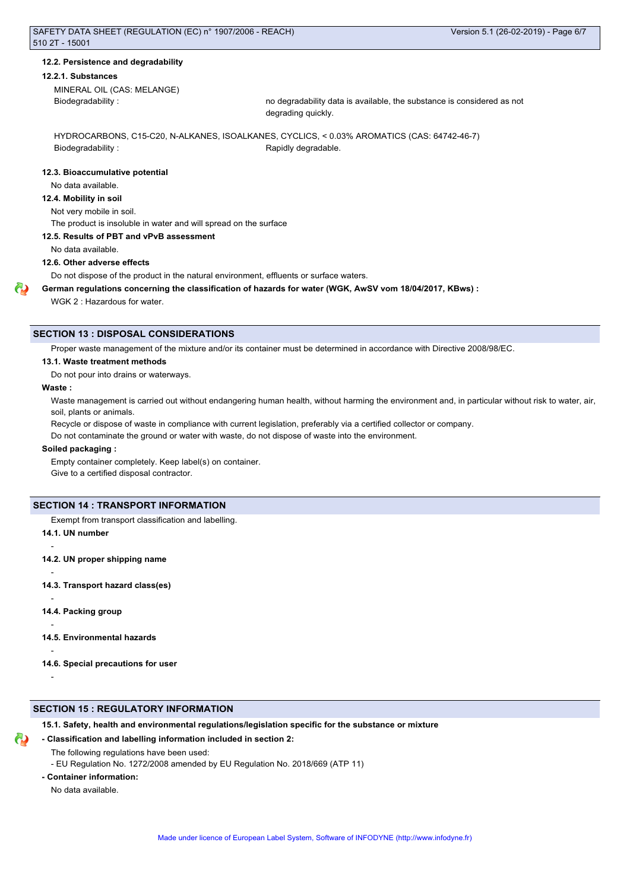#### **12.2. Persistence and degradability**

#### **12.2.1. Substances**

MINERAL OIL (CAS: MELANGE)

Biodegradability : no degradability data is available, the substance is considered as not degrading quickly.

HYDROCARBONS, C15-C20, N-ALKANES, ISOALKANES, CYCLICS, < 0.03% AROMATICS (CAS: 64742-46-7) Biodegradability : The Contract of the Rapidly degradable.

#### **12.3. Bioaccumulative potential**

No data available.

## **12.4. Mobility in soil**

Not very mobile in soil.

The product is insoluble in water and will spread on the surface

#### **12.5. Results of PBT and vPvB assessment**

No data available.

**12.6. Other adverse effects**

Do not dispose of the product in the natural environment, effluents or surface waters.

**German regulations concerning the classification of hazards for water (WGK, AwSV vom 18/04/2017, KBws) :**

WGK 2 : Hazardous for water.

## **SECTION 13 : DISPOSAL CONSIDERATIONS**

Proper waste management of the mixture and/or its container must be determined in accordance with Directive 2008/98/EC.

#### **13.1. Waste treatment methods**

Do not pour into drains or waterways.

#### **Waste :**

Waste management is carried out without endangering human health, without harming the environment and, in particular without risk to water, air, soil, plants or animals.

Recycle or dispose of waste in compliance with current legislation, preferably via a certified collector or company.

Do not contaminate the ground or water with waste, do not dispose of waste into the environment.

#### **Soiled packaging :**

Empty container completely. Keep label(s) on container. Give to a certified disposal contractor.

## **SECTION 14 : TRANSPORT INFORMATION**

Exempt from transport classification and labelling.

**14.1. UN number**

**14.2. UN proper shipping name**

**14.3. Transport hazard class(es)**

**14.4. Packing group**

**14.5. Environmental hazards**

**14.6. Special precautions for user**

-

-

-

-

-

-

## **SECTION 15 : REGULATORY INFORMATION**

**15.1. Safety, health and environmental regulations/legislation specific for the substance or mixture**

## **- Classification and labelling information included in section 2:**

- The following regulations have been used:
- EU Regulation No. 1272/2008 amended by EU Regulation No. 2018/669 (ATP 11)
- **Container information:**

No data available.